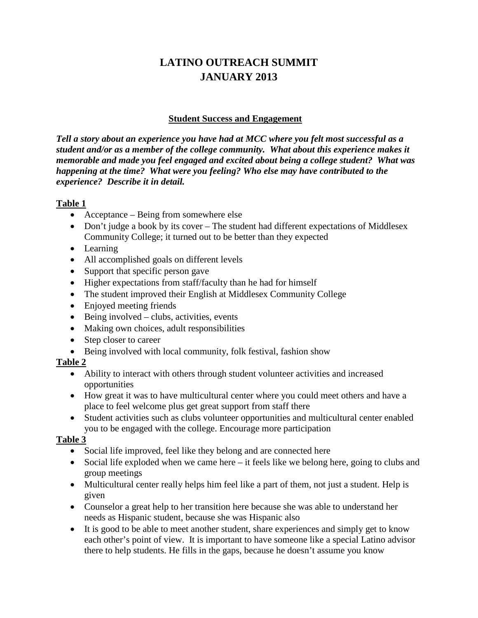# **LATINO OUTREACH SUMMIT JANUARY 2013**

### **Student Success and Engagement**

*Tell a story about an experience you have had at MCC where you felt most successful as a student and/or as a member of the college community. What about this experience makes it memorable and made you feel engaged and excited about being a college student? What was happening at the time? What were you feeling? Who else may have contributed to the experience? Describe it in detail.*

### **Table 1**

- Acceptance Being from somewhere else
- Don't judge a book by its cover The student had different expectations of Middlesex Community College; it turned out to be better than they expected
- Learning
- All accomplished goals on different levels
- Support that specific person gave
- Higher expectations from staff/faculty than he had for himself
- The student improved their English at Middlesex Community College
- Enjoyed meeting friends
- $\bullet$  Being involved clubs, activities, events
- Making own choices, adult responsibilities
- Step closer to career
- Being involved with local community, folk festival, fashion show

# **Table 2**

- Ability to interact with others through student volunteer activities and increased opportunities
- How great it was to have multicultural center where you could meet others and have a place to feel welcome plus get great support from staff there
- Student activities such as clubs volunteer opportunities and multicultural center enabled you to be engaged with the college. Encourage more participation

- Social life improved, feel like they belong and are connected here
- Social life exploded when we came here it feels like we belong here, going to clubs and group meetings
- Multicultural center really helps him feel like a part of them, not just a student. Help is given
- Counselor a great help to her transition here because she was able to understand her needs as Hispanic student, because she was Hispanic also
- It is good to be able to meet another student, share experiences and simply get to know each other's point of view. It is important to have someone like a special Latino advisor there to help students. He fills in the gaps, because he doesn't assume you know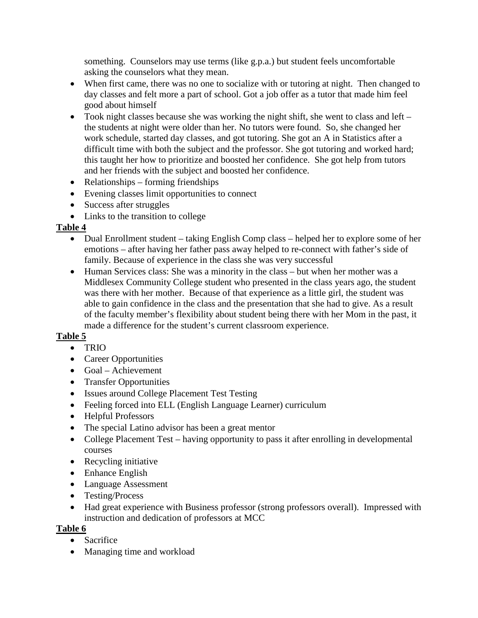something. Counselors may use terms (like g.p.a.) but student feels uncomfortable asking the counselors what they mean.

- When first came, there was no one to socialize with or tutoring at night. Then changed to day classes and felt more a part of school. Got a job offer as a tutor that made him feel good about himself
- Took night classes because she was working the night shift, she went to class and left the students at night were older than her. No tutors were found. So, she changed her work schedule, started day classes, and got tutoring. She got an A in Statistics after a difficult time with both the subject and the professor. She got tutoring and worked hard; this taught her how to prioritize and boosted her confidence. She got help from tutors and her friends with the subject and boosted her confidence.
- Relationships forming friendships
- Evening classes limit opportunities to connect
- Success after struggles
- Links to the transition to college

# **Table 4**

- Dual Enrollment student taking English Comp class helped her to explore some of her emotions – after having her father pass away helped to re-connect with father's side of family. Because of experience in the class she was very successful
- Human Services class: She was a minority in the class but when her mother was a Middlesex Community College student who presented in the class years ago, the student was there with her mother. Because of that experience as a little girl, the student was able to gain confidence in the class and the presentation that she had to give. As a result of the faculty member's flexibility about student being there with her Mom in the past, it made a difference for the student's current classroom experience.

# **Table 5**

- TRIO
- Career Opportunities
- Goal Achievement
- Transfer Opportunities
- Issues around College Placement Test Testing
- Feeling forced into ELL (English Language Learner) curriculum
- Helpful Professors
- The special Latino advisor has been a great mentor
- College Placement Test having opportunity to pass it after enrolling in developmental courses
- Recycling initiative
- Enhance English
- Language Assessment
- Testing/Process
- Had great experience with Business professor (strong professors overall). Impressed with instruction and dedication of professors at MCC

- Sacrifice
- Managing time and workload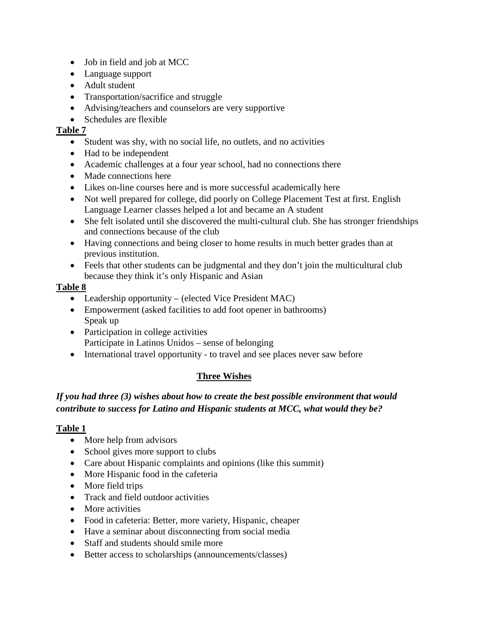- Job in field and job at MCC
- Language support
- Adult student
- Transportation/sacrifice and struggle
- Advising/teachers and counselors are very supportive
- Schedules are flexible

- Student was shy, with no social life, no outlets, and no activities
- Had to be independent
- Academic challenges at a four year school, had no connections there
- Made connections here
- Likes on-line courses here and is more successful academically here
- Not well prepared for college, did poorly on College Placement Test at first. English Language Learner classes helped a lot and became an A student
- She felt isolated until she discovered the multi-cultural club. She has stronger friendships and connections because of the club
- Having connections and being closer to home results in much better grades than at previous institution.
- Feels that other students can be judgmental and they don't join the multicultural club because they think it's only Hispanic and Asian

### **Table 8**

- Leadership opportunity (elected Vice President MAC)
- Empowerment (asked facilities to add foot opener in bathrooms) Speak up
- Participation in college activities Participate in Latinos Unidos – sense of belonging
- International travel opportunity to travel and see places never saw before

# **Three Wishes**

# *If you had three (3) wishes about how to create the best possible environment that would contribute to success for Latino and Hispanic students at MCC, what would they be?*

- More help from advisors
- School gives more support to clubs
- Care about Hispanic complaints and opinions (like this summit)
- More Hispanic food in the cafeteria
- More field trips
- Track and field outdoor activities
- More activities
- Food in cafeteria: Better, more variety, Hispanic, cheaper
- Have a seminar about disconnecting from social media
- Staff and students should smile more
- Better access to scholarships (announcements/classes)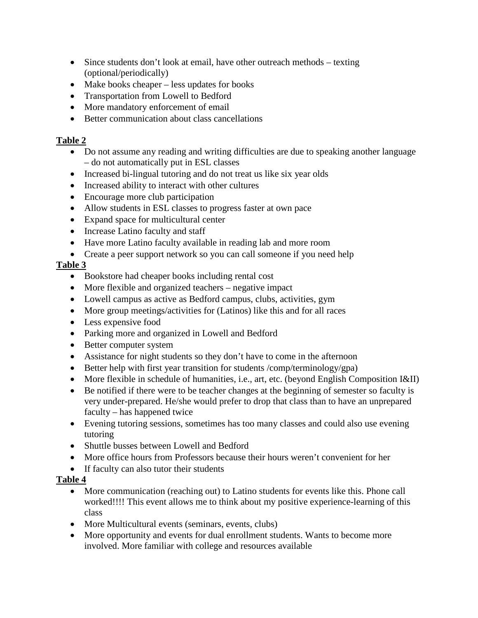- Since students don't look at email, have other outreach methods texting (optional/periodically)
- Make books cheaper less updates for books
- Transportation from Lowell to Bedford
- More mandatory enforcement of email
- Better communication about class cancellations

- Do not assume any reading and writing difficulties are due to speaking another language – do not automatically put in ESL classes
- Increased bi-lingual tutoring and do not treat us like six year olds
- Increased ability to interact with other cultures
- Encourage more club participation
- Allow students in ESL classes to progress faster at own pace
- Expand space for multicultural center
- Increase Latino faculty and staff
- Have more Latino faculty available in reading lab and more room
- Create a peer support network so you can call someone if you need help

# **Table 3**

- Bookstore had cheaper books including rental cost
- More flexible and organized teachers negative impact
- Lowell campus as active as Bedford campus, clubs, activities, gym
- More group meetings/activities for (Latinos) like this and for all races
- Less expensive food
- Parking more and organized in Lowell and Bedford
- Better computer system
- Assistance for night students so they don't have to come in the afternoon
- Better help with first year transition for students /comp/terminology/gpa)
- More flexible in schedule of humanities, i.e., art, etc. (beyond English Composition I&II)
- Be notified if there were to be teacher changes at the beginning of semester so faculty is very under-prepared. He/she would prefer to drop that class than to have an unprepared faculty – has happened twice
- Evening tutoring sessions, sometimes has too many classes and could also use evening tutoring
- Shuttle busses between Lowell and Bedford
- More office hours from Professors because their hours weren't convenient for her
- If faculty can also tutor their students

- More communication (reaching out) to Latino students for events like this. Phone call worked!!!! This event allows me to think about my positive experience-learning of this class
- More Multicultural events (seminars, events, clubs)
- More opportunity and events for dual enrollment students. Wants to become more involved. More familiar with college and resources available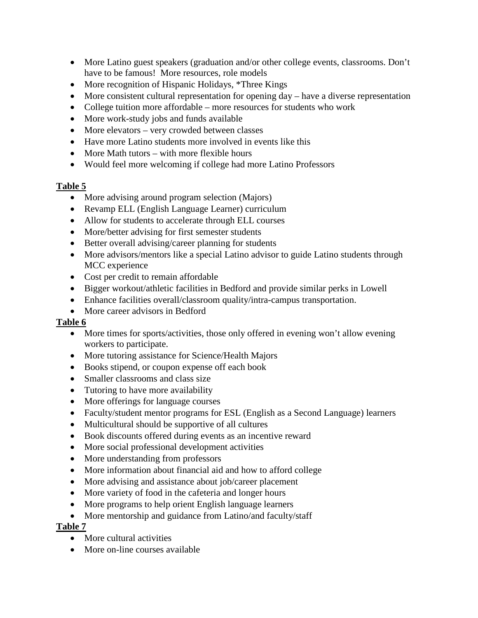- More Latino guest speakers (graduation and/or other college events, classrooms. Don't have to be famous! More resources, role models
- More recognition of Hispanic Holidays, \*Three Kings
- More consistent cultural representation for opening day have a diverse representation
- College tuition more affordable more resources for students who work
- More work-study jobs and funds available
- More elevators very crowded between classes
- Have more Latino students more involved in events like this
- More Math tutors with more flexible hours
- Would feel more welcoming if college had more Latino Professors

- More advising around program selection (Majors)
- Revamp ELL (English Language Learner) curriculum
- Allow for students to accelerate through ELL courses
- More/better advising for first semester students
- Better overall advising/career planning for students
- More advisors/mentors like a special Latino advisor to guide Latino students through MCC experience
- Cost per credit to remain affordable
- Bigger workout/athletic facilities in Bedford and provide similar perks in Lowell
- Enhance facilities overall/classroom quality/intra-campus transportation.
- More career advisors in Bedford

### **Table 6**

- More times for sports/activities, those only offered in evening won't allow evening workers to participate.
- More tutoring assistance for Science/Health Majors
- Books stipend, or coupon expense off each book
- Smaller classrooms and class size
- Tutoring to have more availability
- More offerings for language courses
- Faculty/student mentor programs for ESL (English as a Second Language) learners
- Multicultural should be supportive of all cultures
- Book discounts offered during events as an incentive reward
- More social professional development activities
- More understanding from professors
- More information about financial aid and how to afford college
- More advising and assistance about job/career placement
- More variety of food in the cafeteria and longer hours
- More programs to help orient English language learners
- More mentorship and guidance from Latino/and faculty/staff

- More cultural activities
- More on-line courses available